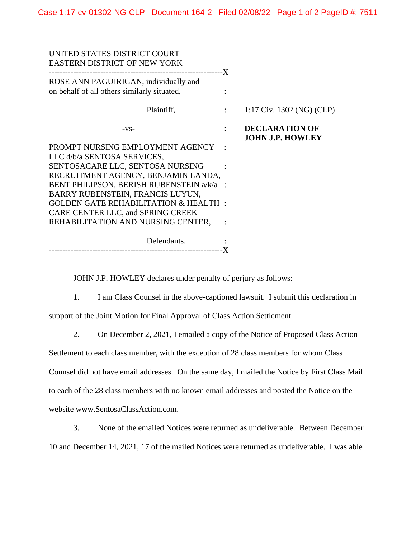| UNITED STATES DISTRICT COURT<br><b>EASTERN DISTRICT OF NEW YORK</b>                  |              |                                                  |
|--------------------------------------------------------------------------------------|--------------|--------------------------------------------------|
| ROSE ANN PAGUIRIGAN, individually and<br>on behalf of all others similarly situated, |              |                                                  |
| Plaintiff,<br><b>Contract Contract Contract</b>                                      |              | 1:17 Civ. 1302 (NG) (CLP)                        |
| $-VS-$                                                                               | $\mathbf{r}$ | <b>DECLARATION OF</b><br><b>JOHN J.P. HOWLEY</b> |
| PROMPT NURSING EMPLOYMENT AGENCY                                                     |              |                                                  |
| LLC d/b/a SENTOSA SERVICES,                                                          |              |                                                  |
| SENTOSACARE LLC, SENTOSA NURSING                                                     |              |                                                  |
| RECRUITMENT AGENCY, BENJAMIN LANDA,                                                  |              |                                                  |
| BENT PHILIPSON, BERISH RUBENSTEIN a/k/a :                                            |              |                                                  |
| BARRY RUBENSTEIN, FRANCIS LUYUN,                                                     |              |                                                  |
| <b>GOLDEN GATE REHABILITATION &amp; HEALTH:</b>                                      |              |                                                  |
| CARE CENTER LLC, and SPRING CREEK                                                    |              |                                                  |
| REHABILITATION AND NURSING CENTER,                                                   |              |                                                  |
| Defendants.                                                                          |              |                                                  |

JOHN J.P. HOWLEY declares under penalty of perjury as follows:

1. I am Class Counsel in the above-captioned lawsuit. I submit this declaration in support of the Joint Motion for Final Approval of Class Action Settlement.

2. On December 2, 2021, I emailed a copy of the Notice of Proposed Class Action

Settlement to each class member, with the exception of 28 class members for whom Class Counsel did not have email addresses. On the same day, I mailed the Notice by First Class Mail to each of the 28 class members with no known email addresses and posted the Notice on the website www.SentosaClassAction.com.

3. None of the emailed Notices were returned as undeliverable. Between December 10 and December 14, 2021, 17 of the mailed Notices were returned as undeliverable. I was able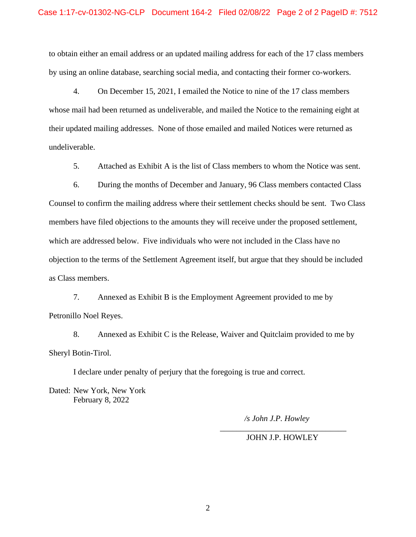to obtain either an email address or an updated mailing address for each of the 17 class members by using an online database, searching social media, and contacting their former co-workers.

4. On December 15, 2021, I emailed the Notice to nine of the 17 class members whose mail had been returned as undeliverable, and mailed the Notice to the remaining eight at their updated mailing addresses. None of those emailed and mailed Notices were returned as undeliverable.

5. Attached as Exhibit A is the list of Class members to whom the Notice was sent.

6. During the months of December and January, 96 Class members contacted Class Counsel to confirm the mailing address where their settlement checks should be sent. Two Class members have filed objections to the amounts they will receive under the proposed settlement, which are addressed below. Five individuals who were not included in the Class have no objection to the terms of the Settlement Agreement itself, but argue that they should be included as Class members.

7. Annexed as Exhibit B is the Employment Agreement provided to me by Petronillo Noel Reyes.

8. Annexed as Exhibit C is the Release, Waiver and Quitclaim provided to me by Sheryl Botin-Tirol.

 $\overline{\phantom{a}}$  , which is a set of the set of the set of the set of the set of the set of the set of the set of the set of the set of the set of the set of the set of the set of the set of the set of the set of the set of th

I declare under penalty of perjury that the foregoing is true and correct.

Dated: New York, New York February 8, 2022

*/s John J.P. Howley* 

JOHN J.P. HOWLEY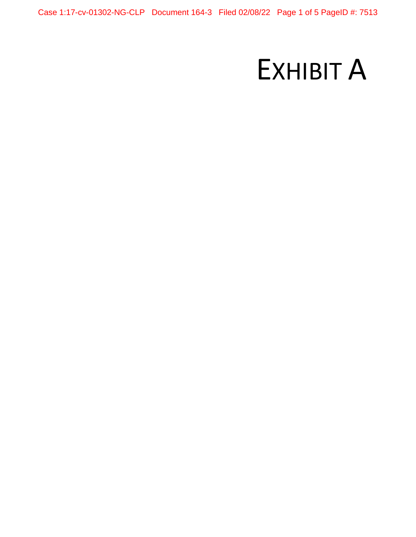Case 1:17-cv-01302-NG-CLP Document 164-3 Filed 02/08/22 Page 1 of 5 PageID #: 7513

## EXHIBIT A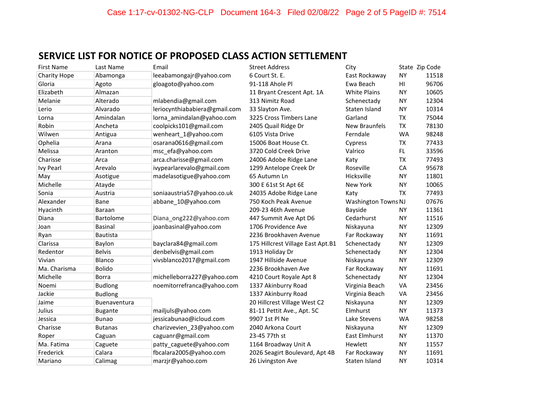## **SERVICE LIST FOR NOTICE OF PROPOSED CLASS ACTION SETTLEMENT**

| <b>First Name</b>   | Last Name       | Email                         | <b>Street Address</b>             | City                |           | State Zip Code |
|---------------------|-----------------|-------------------------------|-----------------------------------|---------------------|-----------|----------------|
| <b>Charity Hope</b> | Abamonga        | leeabamongajr@yahoo.com       | 6 Court St. E.                    | East Rockaway       | <b>NY</b> | 11518          |
| Gloria              | Agoto           | gloagoto@yahoo.com            | 91-118 Ahole Pl                   | Ewa Beach           | HI        | 96706          |
| Elizabeth           | Almazan         |                               | 11 Bryant Crescent Apt. 1A        | <b>White Plains</b> | <b>NY</b> | 10605          |
| Melanie             | Alterado        | mlabendia@gmail.com           | 313 Nimitz Road                   | Schenectady         | <b>NY</b> | 12304          |
| Lerio               | Alvarado        | leriocynthiababiera@gmail.com | 33 Slayton Ave.                   | Staten Island       | <b>NY</b> | 10314          |
| Lorna               | Amindalan       | lorna amindalan@yahoo.com     | 3225 Cross Timbers Lane           | Garland             | <b>TX</b> | 75044          |
| Robin               | Ancheta         | coolpicks101@gmail.com        | 2405 Quail Ridge Dr               | New Braunfels       | TX        | 78130          |
| Wilwen              | Antigua         | wenheart_1@yahoo.com          | 6105 Vista Drive                  | Ferndale            | <b>WA</b> | 98248          |
| Ophelia             | Arana           | osarana0616@gmail.com         | 15006 Boat House Ct.              | Cypress             | TX        | 77433          |
| Melissa             | Aranton         | msc_efa@yahoo.com             | 3720 Cold Creek Drive             | Valrico             | FL.       | 33596          |
| Charisse            | Arca            | arca.charisse@gmail.com       | 24006 Adobe Ridge Lane            | Katy                | TX        | 77493          |
| <b>Ivy Pearl</b>    | Arevalo         | ivypearlarevalo@gmail.com     | 1299 Antelope Creek Dr            | Roseville           | CA        | 95678          |
| May                 | Asotigue        | madelasotigue@yahoo.com       | 65 Autumn Ln                      | Hicksville          | <b>NY</b> | 11801          |
| Michelle            | Atayde          |                               | 300 E 61st St Apt 6E              | New York            | <b>NY</b> | 10065          |
| Sonia               | Austria         | soniaaustria57@yahoo.co.uk    | 24035 Adobe Ridge Lane            | Katy                | <b>TX</b> | 77493          |
| Alexander           | Bane            | abbane_10@yahoo.com           | 750 Koch Peak Avenue              | Washington Towns NJ |           | 07676          |
| Hyacinth            | Baraan          |                               | 209-23 46th Avenue                | Bayside             | <b>NY</b> | 11361          |
| Diana               | Bartolome       | Diana_ong222@yahoo.com        | 447 Summit Ave Apt D6             | Cedarhurst          | <b>NY</b> | 11516          |
| Joan                | <b>Basinal</b>  | joanbasinal@yahoo.com         | 1706 Providence Ave               | Niskayuna           | <b>NY</b> | 12309          |
| Ryan                | <b>Bautista</b> |                               | 2236 Brookhaven Avenue            | Far Rockaway        | <b>NY</b> | 11691          |
| Clarissa            | Baylon          | bayclara84@gmail.com          | 175 Hillcrest Village East Apt.B1 | Schenectady         | <b>NY</b> | 12309          |
| Redentor            | <b>Belvis</b>   | denbelvis@gmail.com           | 1913 Holiday Dr                   | Schenectady         | <b>NY</b> | 12304          |
| Vivian              | Blanco          | vivsblanco2017@gmail.com      | 1947 Hillside Avenue              | Niskayuna           | <b>NY</b> | 12309          |
| Ma. Charisma        | <b>Bolido</b>   |                               | 2236 Brookhaven Ave               | Far Rockaway        | <b>NY</b> | 11691          |
| Michelle            | <b>Borra</b>    | michelleborra227@yahoo.com    | 4210 Court Royale Apt 8           | Schenectady         | <b>NY</b> | 12304          |
| Noemi               | <b>Budlong</b>  | noemitorrefranca@yahoo.com    | 1337 Akinburry Road               | Virginia Beach      | VA        | 23456          |
| Jackie              | <b>Budlong</b>  |                               | 1337 Akinburry Road               | Virginia Beach      | VA        | 23456          |
| Jaime               | Buenaventura    |                               | 20 Hillcrest Village West C2      | Niskayuna           | <b>NY</b> | 12309          |
| Julius              | <b>Bugante</b>  | mailjuls@yahoo.com            | 81-11 Pettit Ave., Apt. 5C        | Elmhurst            | <b>NY</b> | 11373          |
| Jessica             | <b>Bunao</b>    | jessicabunao@icloud.com       | 9907 1st Pl Ne                    | Lake Stevens        | <b>WA</b> | 98258          |
| Charisse            | <b>Butanas</b>  | charizvevien_23@yahoo.com     | 2040 Arkona Court                 | Niskayuna           | <b>NY</b> | 12309          |
| Roper               | Caguan          | caguanr@gmail.com             | 23-45 77th st                     | East Elmhurst       | <b>NY</b> | 11370          |
| Ma. Fatima          | Caguete         | patty_caguete@yahoo.com       | 1164 Broadway Unit A              | Hewlett             | <b>NY</b> | 11557          |
| Frederick           | Calara          | fbcalara2005@yahoo.com        | 2026 Seagirt Boulevard, Apt 4B    | Far Rockaway        | <b>NY</b> | 11691          |
| Mariano             | Calimag         | marzjr@yahoo.com              | 26 Livingston Ave                 | Staten Island       | <b>NY</b> | 10314          |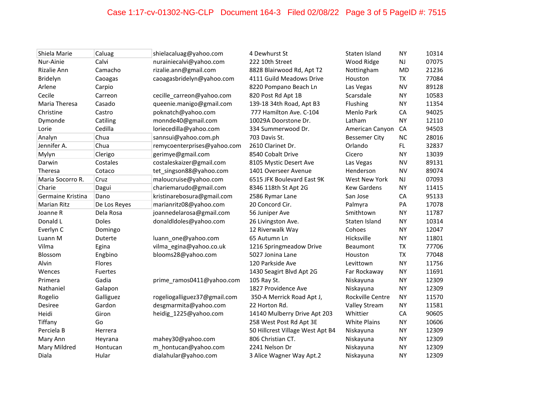| Shiela Marie       | Caluag        | shielacaluag@yahoo.com       | 4 Dewhurst St                    | Staten Island        | ΝY        | 10314 |
|--------------------|---------------|------------------------------|----------------------------------|----------------------|-----------|-------|
| Nur-Ainie          | Calvi         | nurainiecalvi@yahoo.com      | 222 10th Street                  | Wood Ridge           | <b>NJ</b> | 07075 |
| <b>Rizalie Ann</b> | Camacho       | rizalie.ann@gmail.com        | 8828 Blairwood Rd, Apt T2        | Nottingham           | <b>MD</b> | 21236 |
| Bridelyn           | Caoagas       | caoagasbridelyn@yahoo.com    | 4111 Guild Meadows Drive         | Houston              | TX        | 77084 |
| Arlene             | Carpio        |                              | 8220 Pompano Beach Ln            | Las Vegas            | <b>NV</b> | 89128 |
| Cecile             | Carreon       | cecille_carreon@yahoo.com    | 820 Post Rd Apt 1B               | Scarsdale            | <b>NY</b> | 10583 |
| Maria Theresa      | Casado        | queenie.manigo@gmail.com     | 139-18 34th Road, Apt B3         | Flushing             | <b>NY</b> | 11354 |
| Christine          | Castro        | poknatch@yahoo.com           | 777 Hamilton Ave. C-104          | Menlo Park           | <b>CA</b> | 94025 |
| Dymonde            | Catiling      | monnde40@gmail.com           | 10029A Doorstone Dr.             | Latham               | <b>NY</b> | 12110 |
| Lorie              | Cedilla       | loriecedilla@yahoo.com       | 334 Summerwood Dr.               | American Canyon      | CA        | 94503 |
| Analyn             | Chua          | sannsui@yahoo.com.ph         | 703 Davis St.                    | <b>Bessemer City</b> | <b>NC</b> | 28016 |
| Jennifer A.        | Chua          | remycoenterprises@yahoo.com  | 2610 Clarinet Dr.                | Orlando              | FL.       | 32837 |
| Mylyn              | Clerigo       | gerimye@gmail.com            | 8540 Cobalt Drive                | Cicero               | <b>NY</b> | 13039 |
| Darwin             | Costales      | costaleskaizer@gmail.com     | 8105 Mystic Desert Ave           | Las Vegas            | <b>NV</b> | 89131 |
| Theresa            | Cotaco        | tet singson88@yahoo.com      | 1401 Overseer Avenue             | Henderson            | <b>NV</b> | 89074 |
| Maria Socorro R.   | Cruz          | maloucruise@yahoo.com        | 6515 JFK Boulevard East 9K       | <b>West New York</b> | <b>NJ</b> | 07093 |
| Charie             | Dagui         | chariemarudo@gmail.com       | 8346 118th St Apt 2G             | <b>Kew Gardens</b>   | <b>NY</b> | 11415 |
| Germaine Kristina  | Dano          | kristinarebosura@gmail.com   | 2586 Rymar Lane                  | San Jose             | CA        | 95133 |
| <b>Marian Ritz</b> | De Los Reyes  | marianritz08@yahoo.com       | 20 Concord Cir.                  | Palmyra              | PA        | 17078 |
| Joanne R           | Dela Rosa     | joannedelarosa@gmail.com     | 56 Juniper Ave                   | Smithtown            | <b>NY</b> | 11787 |
| Donald L           | Doles         | donaldIdoles@yahoo.com       | 26 Livingston Ave.               | Staten Island        | <b>NY</b> | 10314 |
| Everlyn C          | Domingo       |                              | 12 Riverwalk Way                 | Cohoes               | <b>NY</b> | 12047 |
| Luann M            | Duterte       | luann one@yahoo.com          | 65 Autumn Ln                     | Hicksville           | <b>NY</b> | 11801 |
| Vilma              | Egina         | vilma egina@yahoo.co.uk      | 1216 Springmeadow Drive          | Beaumont             | TX        | 77706 |
| Blossom            | Engbino       | blooms28@yahoo.com           | 5027 Jonina Lane                 | Houston              | TX        | 77048 |
| Alvin              | <b>Flores</b> |                              | 120 Parkside Ave                 | Levittown            | <b>NY</b> | 11756 |
| Wences             | Fuertes       |                              | 1430 Seagirt Blvd Apt 2G         | Far Rockaway         | <b>NY</b> | 11691 |
| Primera            | Gadia         | prime_ramos0411@yahoo.com    | 105 Ray St.                      | Niskayuna            | <b>NY</b> | 12309 |
| Nathaniel          | Galapon       |                              | 1827 Providence Ave              | Niskayuna            | <b>NY</b> | 12309 |
| Rogelio            | Galliguez     | rogeliogalliguez37@gmail.com | 350-A Merrick Road Apt J,        | Rockville Centre     | <b>NY</b> | 11570 |
| Desiree            | Gardon        | desgmarmita@yahoo.com        | 22 Horton Rd.                    | Valley Stream        | <b>NY</b> | 11581 |
| Heidi              | Giron         | heidig_1225@yahoo.com        | 14140 Mulberry Drive Apt 203     | Whittier             | CA        | 90605 |
| Tiffany            | Go            |                              | 258 West Post Rd Apt 3E          | <b>White Plains</b>  | <b>NY</b> | 10606 |
| Perciela B         | Herrera       |                              | 50 Hillcrest Village West Apt B4 | Niskayuna            | <b>NY</b> | 12309 |
| Mary Ann           | Heyrana       | mahey30@yahoo.com            | 806 Christian CT.                | Niskayuna            | <b>NY</b> | 12309 |
| Mary Mildred       | Hontucan      | m hontucan@yahoo.com         | 2241 Nelson Dr                   | Niskayuna            | <b>NY</b> | 12309 |
| Diala              | Hular         | dialahular@yahoo.com         | 3 Alice Wagner Way Apt.2         | Niskayuna            | <b>NY</b> | 12309 |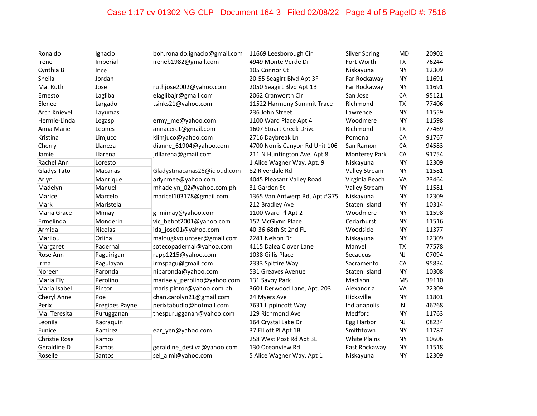| Ronaldo              | Ignacio        | boh.ronaldo.ignacio@gmail.com | 11669 Leesborough Cir          | <b>Silver Spring</b> | MD            | 20902 |
|----------------------|----------------|-------------------------------|--------------------------------|----------------------|---------------|-------|
| Irene                | Imperial       | ireneb1982@gmail.com          | 4949 Monte Verde Dr            | Fort Worth           | <b>TX</b>     | 76244 |
| Cynthia B            | Ince           |                               | 105 Connor Ct                  | Niskayuna            | <b>NY</b>     | 12309 |
| Sheila               | Jordan         |                               | 20-55 Seagirt Blvd Apt 3F      | Far Rockaway         | <b>NY</b>     | 11691 |
| Ma. Ruth             | Jose           | ruthjose2002@yahoo.com        | 2050 Seagirt Blvd Apt 1B       | Far Rockaway         | <b>NY</b>     | 11691 |
| Ernesto              | Lagliba        | elaglibajr@gmail.com          | 2062 Cranworth Cir             | San Jose             | CA            | 95121 |
| Elenee               | Largado        | tsinks21@yahoo.com            | 11522 Harmony Summit Trace     | Richmond             | TX            | 77406 |
| Arch Knievel         | Layumas        |                               | 236 John Street                | Lawrence             | <b>NY</b>     | 11559 |
| Hermie-Linda         | Legaspi        | ermy_me@yahoo.com             | 1100 Ward Place Apt 4          | Woodmere             | <b>NY</b>     | 11598 |
| Anna Marie           | Leones         | annaceret@gmail.com           | 1607 Stuart Creek Drive        | Richmond             | TX            | 77469 |
| Kristina             | Limjuco        | klimjuco@yahoo.com            | 2716 Daybreak Ln               | Pomona               | CA            | 91767 |
| Cherry               | Llaneza        | dianne 61904@yahoo.com        | 4700 Norris Canyon Rd Unit 106 | San Ramon            | CA            | 94583 |
| Jamie                | Llarena        | jdllarena@gmail.com           | 211 N Huntington Ave, Apt 8    | Monterey Park        | CA            | 91754 |
| Rachel Ann           | Loresto        |                               | 1 Alice Wagner Way, Apt. 9     | Niskayuna            | <b>NY</b>     | 12309 |
| Gladys Tato          | Macanas        | Gladystmacanas26@icloud.com   | 82 Riverdale Rd                | Valley Stream        | <b>NY</b>     | 11581 |
| Arlyn                | Manrique       | arlynmee@yahoo.com            | 4045 Pleasant Valley Road      | Virginia Beach       | VA            | 23464 |
| Madelyn              | Manuel         | mhadelyn 02@yahoo.com.ph      | 31 Garden St                   | Valley Stream        | <b>NY</b>     | 11581 |
| Maricel              | Marcelo        | maricel103178@gmail.com       | 1365 Van Antwerp Rd, Apt #G75  | Niskayuna            | <b>NY</b>     | 12309 |
| Mark                 | Maristela      |                               | 212 Bradley Ave                | Staten Island        | <b>NY</b>     | 10314 |
| Maria Grace          | Mimay          | g_mimay@yahoo.com             | 1100 Ward Pl Apt 2             | Woodmere             | <b>NY</b>     | 11598 |
| Ermelinda            | Monderin       | vic_bebot2001@yahoo.com       | 152 McGlynn Place              | Cedarhurst           | <b>NY</b>     | 11516 |
| Armida               | Nicolas        | ida_jose01@yahoo.com          | 40-36 68th St 2nd FL           | Woodside             | <b>NY</b>     | 11377 |
| Marilou              | Orlina         | malougkvolunteer@gmail.com    | 2241 Nelson Dr                 | Niskayuna            | <b>NY</b>     | 12309 |
| Margaret             | Padernal       | sotecopadernal@yahoo.com      | 4115 Dalea Clover Lane         | Manvel               | <b>TX</b>     | 77578 |
| Rose Ann             | Paguirigan     | rapp1215@yahoo.com            | 1038 Gillis Place              | Secaucus             | $\mathsf{NJ}$ | 07094 |
| Irma                 | Pagulayan      | irmspagu@gmail.com            | 2333 Spitfire Way              | Sacramento           | CA            | 95834 |
| Noreen               | Paronda        | niparonda@yahoo.com           | 531 Greaves Avenue             | Staten Island        | <b>NY</b>     | 10308 |
| Maria Ely            | Perolino       | mariaely_perolino@yahoo.com   | 131 Savoy Park                 | Madison              | <b>MS</b>     | 39110 |
| Maria Isabel         | Pintor         | maris.pintor@yahoo.com.ph     | 3601 Derwood Lane, Apt. 203    | Alexandria           | VA            | 22309 |
| Cheryl Anne          | Poe            | chan.carolyn21@gmail.com      | 24 Myers Ave                   | Hicksville           | <b>NY</b>     | 11801 |
| Perix                | Pregides Payne | perixtabudlo@hotmail.com      | 7631 Lippincott Way            | Indianapolis         | IN            | 46268 |
| Ma. Teresita         | Purugganan     | thespurugganan@yahoo.com      | 129 Richmond Ave               | Medford              | <b>NY</b>     | 11763 |
| Leonila              | Racraquin      |                               | 164 Crystal Lake Dr            | Egg Harbor           | $\mathsf{NJ}$ | 08234 |
| Eunice               | Ramirez        | ear yen@yahoo.com             | 37 Elliott Pl Apt 1B           | Smithtown            | <b>NY</b>     | 11787 |
| <b>Christie Rose</b> | Ramos          |                               | 258 West Post Rd Apt 3E        | White Plains         | <b>NY</b>     | 10606 |
| Geraldine D          | Ramos          | geraldine_desilva@yahoo.com   | 130 Oceanview Rd               | East Rockaway        | <b>NY</b>     | 11518 |
| Roselle              | Santos         | sel almi@yahoo.com            | 5 Alice Wagner Way, Apt 1      | Niskayuna            | <b>NY</b>     | 12309 |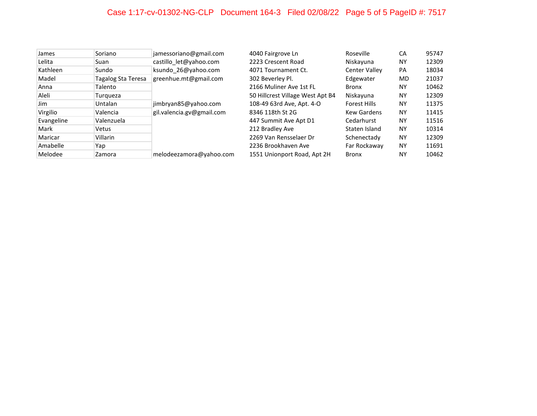## Case 1:17-cv-01302-NG-CLP Document 164-3 Filed 02/08/22 Page 5 of 5 PageID #: 7517

| <b>James</b> | Soriano            | jamessoriano@gmail.com    | 4040 Fairgrove Ln                | Roseville           | CA        | 95747 |
|--------------|--------------------|---------------------------|----------------------------------|---------------------|-----------|-------|
| Lelita       | Suan               | castillo let@yahoo.com    | 2223 Crescent Road               | Niskayuna           | ΝY        | 12309 |
| Kathleen     | Sundo              | ksundo 26@yahoo.com       | 4071 Tournament Ct.              | Center Valley       | PA        | 18034 |
| Madel        | Tagalog Sta Teresa | greenhue.mt@gmail.com     | 302 Beverley Pl.                 | Edgewater           | MD        | 21037 |
| Anna         | Talento            |                           | 2166 Muliner Ave 1st FL          | Bronx               | <b>NY</b> | 10462 |
| Aleli        | Turqueza           |                           | 50 Hillcrest Village West Apt B4 | Niskayuna           | ΝY        | 12309 |
| Jim          | <b>Untalan</b>     | jimbryan85@yahoo.com      | 108-49 63rd Ave, Apt. 4-0        | <b>Forest Hills</b> | <b>NY</b> | 11375 |
| Virgilio     | Valencia           | gil.valencia.gv@gmail.com | 8346 118th St 2G                 | Kew Gardens         | <b>NY</b> | 11415 |
| Evangeline   | Valenzuela         |                           | 447 Summit Ave Apt D1            | Cedarhurst          | <b>NY</b> | 11516 |
| Mark         | Vetus              |                           | 212 Bradley Ave                  | Staten Island       | <b>NY</b> | 10314 |
| Maricar      | Villarin           |                           | 2269 Van Rensselaer Dr           | Schenectady         | <b>NY</b> | 12309 |
| Amabelle     | Yap                |                           | 2236 Brookhaven Ave              | Far Rockaway        | <b>NY</b> | 11691 |
| Melodee      | Zamora             | melodeezamora@yahoo.com   | 1551 Unionport Road, Apt 2H      | Bronx               | NΥ        | 10462 |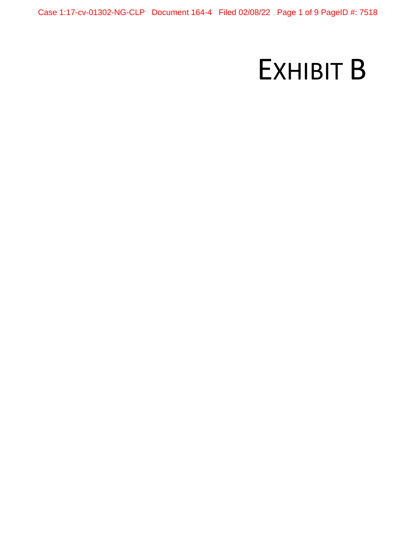## EXHIBIT B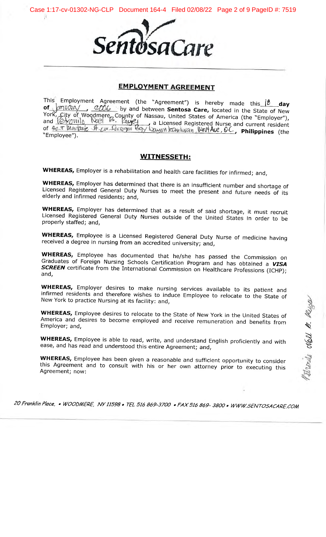



 $\sqrt{\epsilon}$ 

### **EMPLOYMENT AGREEMENT**

This Employment Agreement (the "Agreement") is hereby made this  $\beta$  day of ( York-, ork, City of Woodmere, County of Nassau, United States of America (the "Employer"),<br>and **Cove Welly Neel B- Peyel La Licensed Registered Nurse and Current resident**  $a_1$  2006 by and between Sentosa Care, located in the State of New and <u>Common Roef P. Fegest</u>, a Licensed Registered Nurse and current resident<br>of <u>Co. T Marbale SF-cor. Sorogon Cery</u> Dayon Kombvan, WertAve, O.C., **Philippines** (the "Employee"),

#### WITNESSETH:

WHEREAS, Employer is a rehabilitation and health care facilities for infirmed; and,

WHEREAS, Employer has determined that there is an insufficient number and shortage of Licensed Registered General Duty Nurses to meet the present and future needs of its elderly and infirmed residents; and,

WHEREAS, Employer has determined that as a result of said shortage, it must recruit Licensed Registered General Duty Nurses outside of the United States in order to be properly staffed; and,

WHEREAS, Employee is a Licensed Registered General Duty Nurse of medicine having received a degree in nursing from an accredited university; and,

WHEREAS, Employee has documented that he/she has passed the Commission on Graduates of Foreign Nursing Schools Certification Program and has obtained a VISA SCREEN certificate from the International Commission on Healthcar

WHEREAS, Employer desires to make nursing services available to its patient and infirmed residents and therefore wishes to induce Employee to relocate to the State of New York to practice Nursing at its facility: and,

WHEREAS, Employee desires to relocate to the State of New York in the United States of America and desires to become employed and receive remuneration and benefits from Employer; and,

WHEREAS, Employee is able to read, write, and understand English proficiently and with ease, and has read and understood this entire Agreement; and,

WHEREAS, Employee has been given a reasonable and sufficient opportunity to consider this Agreement and to consult with his or her own attorney prior to executing this Agreement; now:

20 Franklin Place, . WOODMERE, NY 11598. TEL 516 869-3700. FAX 516 869-3800. WWW.SENTOSACARE.COM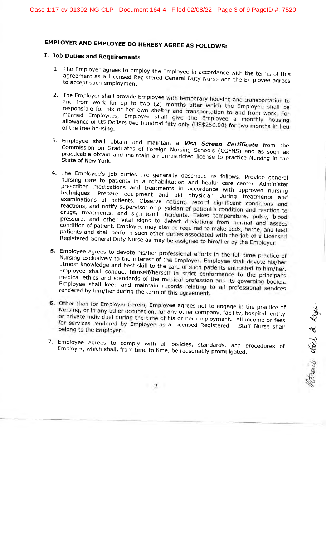## EMPLOYER AND EMPLOYEE DO HEREBY AGREE AS FOLLOWS:

## I. Job Duties and Requirements

- 1. The Employer agrees to employ the Employee in accordance with the terms of this agreement The Employer agrees to employ the Employee in accordance with the terms of this<br>agreement as a Licensed Registered General Duty Nurse and the Employee agrees<br>to accept such employment.
- 2. The Employer shall provide Employee with temporary housing and transportation to and from work for up to two  $(2)$  months after which the Employee shall be responsible for his or her own shelter and transportation to and from work. For married Employees, Employer shall give the Employee a monthly housing allowance of US Dollars two hundred fifty only (US\$250.00) for two months in lieu of the free housing.
- 3. Employee shall obtain and maintain a *Visa Screen Certificate* from the<br>Commission on Graduates of Foreign Nursing Schools (CGFNS) and as soon as Fracticable on Graduates of Foreign Nursing Schools (CGFNS) and as soon as<br>practicable obtain and maintain an unrestricted license to practice Nursing in the<br>State of New York.
- 4. The Employee's job duties are generally described as follows: Provide general<br>nursing care to patients in a rehabilitation and health care center. Administer<br>prescribed medications and treatments in accordance with appr reactions, and notify supervisor or physician of patient's condition and reaction to drugs, treatments, and significant incidents. Takes temperature, pulse, blood pressure, and other vital signs to detect deviations from normal and assess condition of patient. Employee may also be required to make beds, bathe, and feed<br>patients and shall perform such other duties associated with the job of a Licensed Registered General Duty Nurse as may be assigned to him/her by the Employer.
- 5. Employee agrees to devote his/her professional efforts in the full time practice of Nursing exclusively to the interest of the Employer. Employee shall devote his/her utmost knowledge and best skill to the care of such patients entrusted to him/her. Employee shall conduct himself/herself in strict conformance to the principal's medical ethics and standards of the medical profession and its governing bodies. Employee shall keep and maintain records relating to all professional services rendered by him/her during the term of this agreement.
- 6. Other than for Employer herein, Employee agrees not to engage in the practice of Nursing, or in any other occupation, for any other company, facility, hospital, entity or private individual during the time of his or her employment. All income or fees<br>for services rendered by Employee as a Licensed Registered Staff Nurse shall for services rendered by Employee as a Licensed Registered belong to the Employer.

.\ "\$\

N

-J s

7. Employee agrees to comply with all policies, standards, and procedures of Employer, which shall, from time to time, be reasonably promulgated.

 $\overline{2}$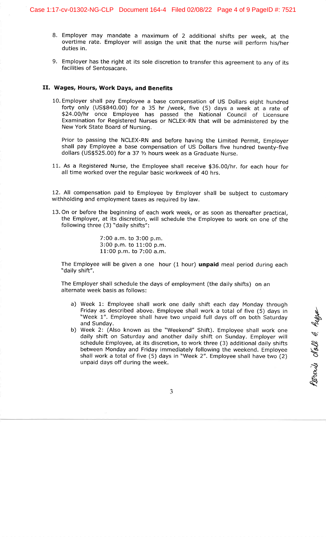- B. Employer may mandate a maximum of 2 additional shifts per week, at the overtime rate. Employer will assign the unit that the nurse will perform his/her duties in.
- 9. Employer has the right at its sole discretion to transfer this agreement to any of its facilities of Sentosacare.

### II. Wages, Hours, Work Days, and Benefits

10. Employer shall pay Employee a base compensation of US Dollars eight hundred forty only (US\$840.00) for a 35 hr /week, five (5) days a week at a rate of \$24.00/hr once Employee has passed the National Council of Licensure Examination for Registered Nurses or NCLEX-RN that will be administered by the New York State Board of Nursing.

Prior to passing the NCLEX-RN and before having the Limited Permit, Employer shall pay Employee a base compensation of US Dollars five hundred twenty-five dollars (US\$525.00) for a 37 1/z hours week as a Graduate Nurse.

11. As a Registered Nurse, the Employee shall receive \$36.00/hr. for each hour for all time worked over the regular basic workweek of 40 hrs,

12. All compensation paid to Employee by Employer shall be subject to customary withholding and employment taxes as required by law.

13. On or before the beginning of each work week, or as soon as thereafter practical, the Employer, at its discretion, will schedule the Employee to work on one of the following three (3) "daily shifts":

> 7:00 a.m. to 3:00 p.m.  $3:00$  p.m. to  $11:00$  p.m. 11:00 p.m. to 7:00 a.m.

The Employee will be given a one hour (1 hour) unpaid meal period during each "daily shift".

The Employer shall schedule the days of employment (the daily shifts) on an alternate week basis as follows:

- a) Week 1: Employee shall work one daily shift each day Monday through Friday as described above. Employee shall work a total of five (5) days in "Week 1". Employee shall have two unpaid full days off on both Saturday and Sunday.
- Week 2: (Also known as the "Weekend" Shift). Employee shall work one b) daily shift on Saturday and another daily shift on Sunday. Employer will schedule Employee, at its discretion, to work three (3) additional daily shifts between Monday and Friday immediately following the weekend. Employee shall work a total of five (5) days in "Week 2". Employee shall have two (2) unpaid days off during the week.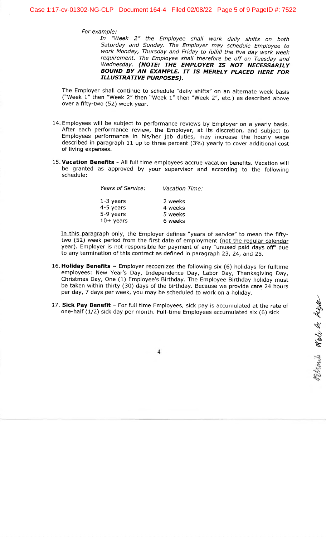For example:

In "Week 2" the Employee shall work daily shifts on both Saturday and Sunday. The Employer may schedule Employee to work Monday, Thursday and Friday to fulfill the five day work week requirement. The Employee shall therefore be off on Tuesday and Wednesday. (NOTE: THE EMPLOYER IS NOT NECESSARILY BOUND BY AN EXAMPLE. IT IS MERELY PLACED HERE FOR **ILLUSTRATIVE PURPOSES).** 

The Employer shall continue to schedule "daily shifts" on an alternate week basis ("Week  $1''$  then "Week  $2''$  then "Week  $1''$  then "Week  $2''$ , etc.) as described above over a fifty-two (52) week year,

- 14. Employees will be subject to performance reviews by Employer on a yearly basis. After each performance review, the Employer, at its discretion, and subject to Employees performance in his/her job duties, may increase the hourly wage described in paragraph 11 up to three percent (3%) yearly to cover additional cost of living expenses.
- l5.Vacation Benefits All full time employees accrue vacation benefits. Vacation will be granted as approved by your supervisor and according to the following schedule:

| Years of Service: | Vacation Time: |
|-------------------|----------------|
| $1-3$ years       | 2 weeks        |
| 4-5 years         | 4 weeks        |
| 5-9 years         | 5 weeks        |
| $10+$ years       | 6 weeks        |

In this paragraph only, the Employer defines "years of service" to mean the fiftytwo (52) week period from the first date of employment (not the regular calendar year). Employer is not responsible for payment of any "unused paid days off" due to any termination of this contract as defined in paragraph 23, 24, and 25.

- 16. Holiday Benefits Employer recognizes the following six (6) holidays for fulltime employees: New Year's Day, Independence Day, Labor Day, Thanksgiving Day, Christmas Day, One (1) Employee's Birthday. The Employee Birthday holiday must be taken within thirty (30) days of the birthday. Because we provide care 24 hours per day, 7 days per week, you may be scheduled to work on a holiday.
- 17. Sick Pay Benefit For full time Employees, sick pay is accumulated at the rate of one-half (1/2) sick day per month. Full-time Employees accumulated six (6) sick

 $\overline{\mathbf{4}}$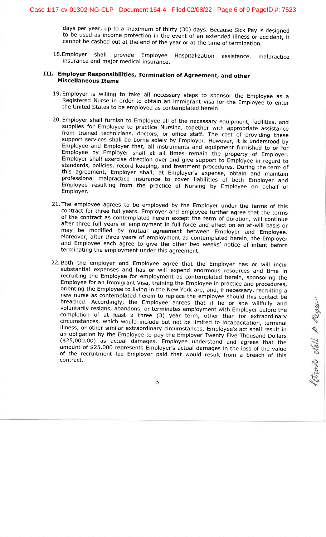days per year, up to a maximum of thirty (30) days. Because Sick Pay is designed to be used as income protection in the event of an extended illness or accident, it cannot be cashed out at the end of the year or at the tim

1B'Employer shall provide Employee Hospitalization assistance, malpractice insurance and major medical insurance.

### III. Employer Responsibilities, Termination of Agreement, and other Miscellaneous Items

- 19. Employer is willing to take all necessary steps to sponsor the Employee as a Registered Nurse in order to obtain an immigrant visa for the Employee to enter the United States to be employed as contemplated herein.
- 20. Employer shall furnish to Employee all of the necessary equipment, facilities, and supplies for Employee to practice Nursing, together with appropriate assistance from trained technicians, doctors, or office staff. The Employee and Employer that, all instruments and equipment furnished to or for<br>Employee by Employer shall at all times remain the property of Employer.<br>Employer shall exercise direction over and give support to Employee in standards, policies, record keeping, and treatment procedures. During the term of<br>this agreement, Employer shall, at Employer's expense, obtain and maintain<br>professional malpractice insurance to cover liabilities of both E Employee resulting from the practice of Nursing by Employee on behalf of Employer.
- 21.The employee agrees to be employed by the Employer under the terms of this contract for three full years. Employer and Employee further agree that the terms of the contract as contemplated herein except the term of duration, will continue after three full years of employment in full force and effect on an at-will basis or may be modified by mutual agreement between Employer and Employee. Moreover, after three years of employment as contemplated herein, the Employer and Employee each agree to give the other two weeks' notice of intent before terminating the employment under this agreement.
- 22. Both the employer and Employee agree that the Employer has or will incur substantial expenses and has or will expend enormous resources and time in recruiting the Employee for employment as contemplated herein, sponsoring the Employee for an Immigrant Visa, training the Employee in practice and procedures, orienting the Employee to living in the New York are, and, if necessary, recruiting a new nurse as contemplated herein to replace the employee should this contact be breached. Accordingly, the Employee agrees that if he or she willfully and voluntarily resigns, abandons, or terminates employment with Employer before the completion of at least a three (3) year term, other than for extraordinary circumstances, which would include but not be limited to incapacitation, terminal illness, or other similar extraordinary circumstances, Employee's act shall result in<br>an obligation by the Employee to pay the Employer Twenty Five Thousand Dollars (\$25,000.00) as actual damages. Employee understand and agrees that the amount of \$25,000 represents Employer's actual damages in the loss of the value of the recruitment fee Employer paid that would result from a breach of this contract.

Petronio Nell P. Reyes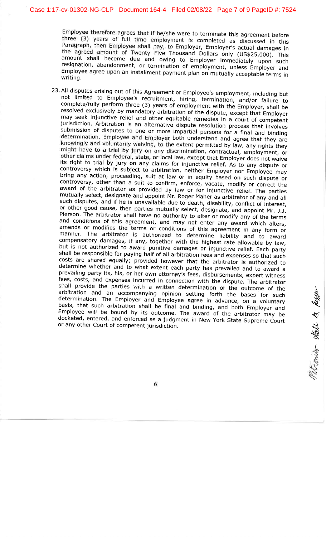Employee therefore agrees that if he/she were to terminate this agreement before three (3) years of full time employment is completed as discussed in this Paragraph, then Employee shall pay, to Employer, Employer's actual damages in<br>the agreed amount of Twenty Five Thousand Dollars only (US\$25,000). This amount shall become due and owing to Employer immediately upon such<br>resignation, abandonment, or termination of employment, unless Employer and<br>Employee agree upon an installment payment plan on mutually acceptable terms i

not limited to Employee's recruitment, hiring, termination, and/or failure to 23. All disputes arising out of this Agreement or Employee's employment, including but complete/fully perform three (3) years of employment with the Employer, shall be resolved exclusively by mandatory arbitration of the dispute, except that Employer resorved exclusively by mandatory arbitration of the dispute, except that Employer<br>may seek injunctive relief and other equitable remedies in a court of competent<br>jurisdiction. Arbitration is an alternative dispute resolut submission of disputes to one or more impartial persons for a final and binding<br>determination. Employee and Employer both understand and agree that they are knowingly and voluntarily waiving, to the extent permitted by law, any rights they might have to a trial by jury on any discrimination, contractual, employment, or other claims under federal, state, or local law, except that Employer does not waive its right to trial by jury on any claims for injunctive relief. As to any dispute or controversy which is subject to arbitration, neither Empioyer nor Employee may bring any action, proceeding, suit at law or in equity bas Pierson. The arbitrator shall have no authority to alter or modify any of the terms<br>and conditions of this agreement, and may not enter any award which alters,<br>amends or modifies the terms or conditions of this agreement i fees, costs, and expenses incurred in connection with the dispute. The arbitrator shall provide the parties with a written determination of the outcome of the arbitration and an accompanying opinion setting forth the bases or any other Court of competent jurisdiction.

**Perfer** 

s

dell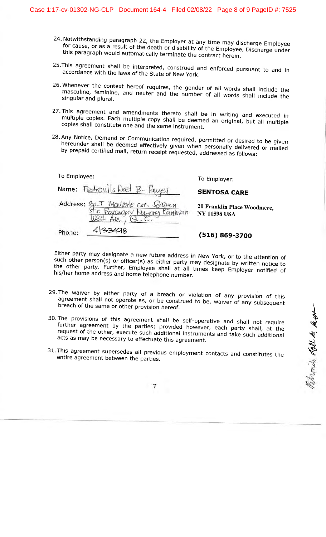- 24. Notwithstanding paragraph 22, the Employer at any time may discharge Employee<br>for cause, or as a result of the death or disability of the Employee, Discharge under<br>this paragraph would automatically terminate the contr
- 25. This agreement shall be interpreted, construed and enforced pursuant to and in accordance with the laws of the State of New York.
- 26. Whenever the context hereof requires, the gender of all words shall include the masculine, fe Whenever the context hereof requires, the gender of all words shall include the<br>masculine, feminine, and neuter and the number of all words shall include the<br>singular and plural.
- 27. This agreement and amendments thereto shall be in writing and executed in This agreement and amendments thereto shall be in writing and executed in<br>multiple copies. Each multiple copy shall be deemed an original, but all multiple<br>copies shall constitute one and the same instrument.
- 28. Any Notice, Demand or Communication required, permitted or desired to be given<br>hereunder shall be deemed effectively given when personally delivered or mailed<br>by prepaid certified mail, return receipt requested, addres

| To Employee:                            | To Employer:                                       |
|-----------------------------------------|----------------------------------------------------|
| Name: Perrouilo Doel B.                 | <b>SENTOSA CARE</b>                                |
| Address: Bo-T Marine Cov. Sol<br>POWCWC | 20 Franklin Place Woodmere,<br><b>NY 11598 USA</b> |
| Phone:                                  | (516) 869-3700                                     |

Either party may designate a new future address in New York, or to the attention of such other person(s) or officer(s) as either party may designate by written notice to the other party. Further, Employee shall at all time

29. The waiver by either party of a breach or violation of any agreement shall not operate as, or be construed to be, waiver dependent of the same or other provision hereof. 29. The waiver by either party of a breach or violation of any provision of this of any subsequent

 $\mathcal{E}$ 

 $\ddot{\phantom{0}}$  $\overline{a}$ 

 $\mathbf{r}$ 

**REN** 

- 30. The provisions of this agreement shall be self-operative and shall not require further agreement by the parties; provided however, each party shall, at the request of the other, execute such additional instruments and
- 31. This agreement supersedes all previous employment contacts and constitutes the entire agreement between the parties.

 $\boldsymbol{7}$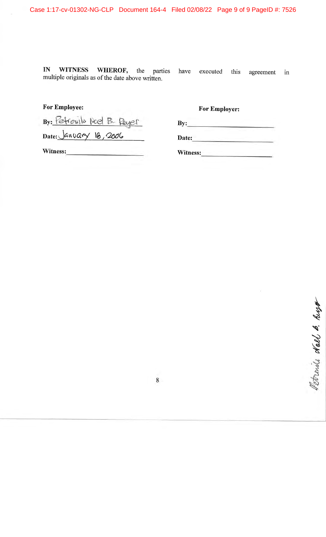IN WITNESS WHEROF, the parties multiple originals as of the date above written.

have executed this agreement in

For Employee:

By: Petrouilo Noel B. Peyer

 $Date: \frac{Janoary}{B}$ , 2006

For Employer:

Date:

Witness: Manual Manual Manual Manual Manual Manual Manual Manual Manual Manual Manual Manual Manual Manual Manual Manual Manual Manual Manual Manual Manual Manual Manual Manual Manual Manual Manual Manual Manual Manual Man

Witness: New York Chamber 2014

 $\bf 8$ 

 $\ddot{\phantom{1}}$ \ x

**\$40** 8

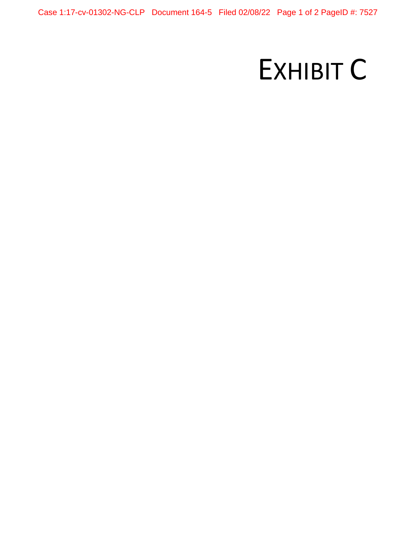Case 1:17-cv-01302-NG-CLP Document 164-5 Filed 02/08/22 Page 1 of 2 PageID #: 7527

# EXHIBIT C